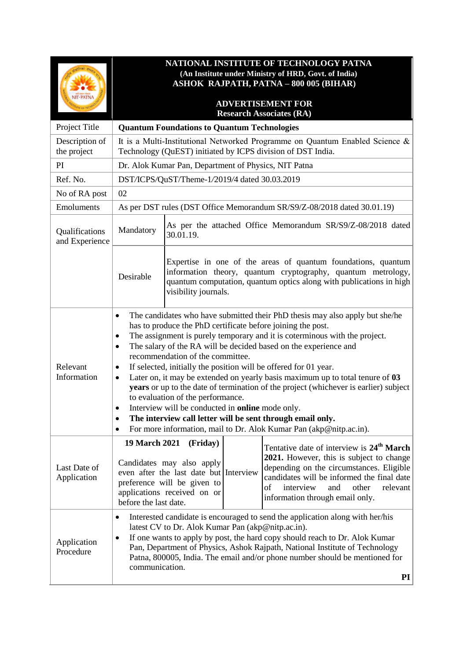| <b>NIT-PATNA</b>                 | NATIONAL INSTITUTE OF TECHNOLOGY PATNA<br>(An Institute under Ministry of HRD, Govt. of India)<br><b>ASHOK RAJPATH, PATNA - 800 005 (BIHAR)</b><br><b>ADVERTISEMENT FOR</b>                                                                                                                                                                                                                                                                                                                                                                                                                                                                                                                                                                                                                                                                               |                                                                                                                                               |  |                                                                                                                                                                                                                                                                               |  |  |
|----------------------------------|-----------------------------------------------------------------------------------------------------------------------------------------------------------------------------------------------------------------------------------------------------------------------------------------------------------------------------------------------------------------------------------------------------------------------------------------------------------------------------------------------------------------------------------------------------------------------------------------------------------------------------------------------------------------------------------------------------------------------------------------------------------------------------------------------------------------------------------------------------------|-----------------------------------------------------------------------------------------------------------------------------------------------|--|-------------------------------------------------------------------------------------------------------------------------------------------------------------------------------------------------------------------------------------------------------------------------------|--|--|
|                                  | <b>Research Associates (RA)</b>                                                                                                                                                                                                                                                                                                                                                                                                                                                                                                                                                                                                                                                                                                                                                                                                                           |                                                                                                                                               |  |                                                                                                                                                                                                                                                                               |  |  |
| Project Title                    |                                                                                                                                                                                                                                                                                                                                                                                                                                                                                                                                                                                                                                                                                                                                                                                                                                                           | <b>Quantum Foundations to Quantum Technologies</b>                                                                                            |  |                                                                                                                                                                                                                                                                               |  |  |
| Description of<br>the project    | It is a Multi-Institutional Networked Programme on Quantum Enabled Science &<br>Technology (QuEST) initiated by ICPS division of DST India.                                                                                                                                                                                                                                                                                                                                                                                                                                                                                                                                                                                                                                                                                                               |                                                                                                                                               |  |                                                                                                                                                                                                                                                                               |  |  |
| PI                               | Dr. Alok Kumar Pan, Department of Physics, NIT Patna                                                                                                                                                                                                                                                                                                                                                                                                                                                                                                                                                                                                                                                                                                                                                                                                      |                                                                                                                                               |  |                                                                                                                                                                                                                                                                               |  |  |
| Ref. No.                         | DST/ICPS/QuST/Theme-1/2019/4 dated 30.03.2019                                                                                                                                                                                                                                                                                                                                                                                                                                                                                                                                                                                                                                                                                                                                                                                                             |                                                                                                                                               |  |                                                                                                                                                                                                                                                                               |  |  |
| No of RA post                    | 02                                                                                                                                                                                                                                                                                                                                                                                                                                                                                                                                                                                                                                                                                                                                                                                                                                                        |                                                                                                                                               |  |                                                                                                                                                                                                                                                                               |  |  |
| Emoluments                       | As per DST rules (DST Office Memorandum SR/S9/Z-08/2018 dated 30.01.19)                                                                                                                                                                                                                                                                                                                                                                                                                                                                                                                                                                                                                                                                                                                                                                                   |                                                                                                                                               |  |                                                                                                                                                                                                                                                                               |  |  |
| Qualifications<br>and Experience | Mandatory                                                                                                                                                                                                                                                                                                                                                                                                                                                                                                                                                                                                                                                                                                                                                                                                                                                 | As per the attached Office Memorandum SR/S9/Z-08/2018 dated<br>30.01.19.                                                                      |  |                                                                                                                                                                                                                                                                               |  |  |
|                                  | Desirable                                                                                                                                                                                                                                                                                                                                                                                                                                                                                                                                                                                                                                                                                                                                                                                                                                                 | visibility journals.                                                                                                                          |  | Expertise in one of the areas of quantum foundations, quantum<br>information theory, quantum cryptography, quantum metrology,<br>quantum computation, quantum optics along with publications in high                                                                          |  |  |
| Relevant<br>Information          | The candidates who have submitted their PhD thesis may also apply but she/he<br>٠<br>has to produce the PhD certificate before joining the post.<br>The assignment is purely temporary and it is coterminous with the project.<br>٠<br>The salary of the RA will be decided based on the experience and<br>$\bullet$<br>recommendation of the committee.<br>If selected, initially the position will be offered for 01 year.<br>٠<br>Later on, it may be extended on yearly basis maximum up to total tenure of 03<br>$\bullet$<br>years or up to the date of termination of the project (whichever is earlier) subject<br>to evaluation of the performance.<br>Interview will be conducted in online mode only.<br>The interview call letter will be sent through email only.<br>٠<br>For more information, mail to Dr. Alok Kumar Pan (akp@nitp.ac.in). |                                                                                                                                               |  |                                                                                                                                                                                                                                                                               |  |  |
| Last Date of<br>Application      | <b>19 March 2021</b><br>before the last date.                                                                                                                                                                                                                                                                                                                                                                                                                                                                                                                                                                                                                                                                                                                                                                                                             | (Friday)<br>Candidates may also apply<br>even after the last date but Interview<br>preference will be given to<br>applications received on or |  | Tentative date of interview is 24 <sup>th</sup> March<br>2021. However, this is subject to change<br>depending on the circumstances. Eligible<br>candidates will be informed the final date<br>interview<br>of<br>other<br>relevant<br>and<br>information through email only. |  |  |
| Application<br>Procedure         | Interested candidate is encouraged to send the application along with her/his<br>٠<br>latest CV to Dr. Alok Kumar Pan (akp@nitp.ac.in).<br>If one wants to apply by post, the hard copy should reach to Dr. Alok Kumar<br>$\bullet$<br>Pan, Department of Physics, Ashok Rajpath, National Institute of Technology<br>Patna, 800005, India. The email and/or phone number should be mentioned for<br>communication.<br>PI                                                                                                                                                                                                                                                                                                                                                                                                                                 |                                                                                                                                               |  |                                                                                                                                                                                                                                                                               |  |  |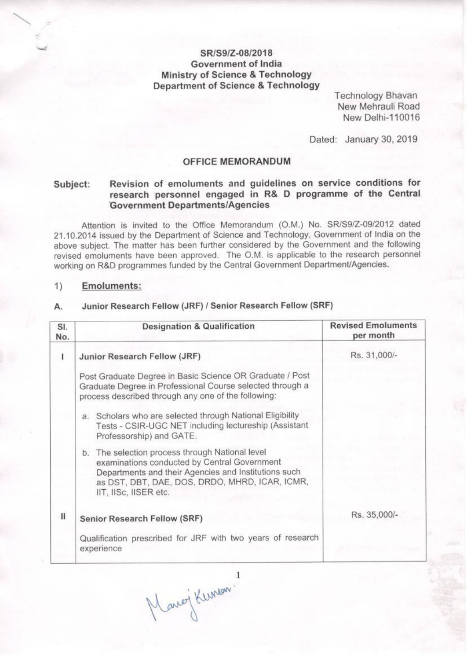## SR/S9/Z-08/2018 Government of India **Ministry of Science & Technology Department of Science & Technology**

**Technology Bhavan** New Mehrauli Road New Delhi-110016

Dated: January 30, 2019

### **OFFICE MEMORANDUM**

### Revision of emoluments and guidelines on service conditions for Subject: research personnel engaged in R& D programme of the Central **Government Departments/Agencies**

Attention is invited to the Office Memorandum (O.M.) No. SR/S9/Z-09/2012 dated 21.10.2014 issued by the Department of Science and Technology, Government of India on the above subject. The matter has been further considered by the Government and the following revised emoluments have been approved. The O.M. is applicable to the research personnel working on R&D programmes funded by the Central Government Department/Agencies.

#### $1)$ **Emoluments:**

#### Junior Research Fellow (JRF) / Senior Research Fellow (SRF) А.

| SI.<br>No.   | <b>Designation &amp; Qualification</b>                                                                                                                                                                                             | <b>Revised Emoluments</b><br>per month |
|--------------|------------------------------------------------------------------------------------------------------------------------------------------------------------------------------------------------------------------------------------|----------------------------------------|
| ı            | Junior Research Fellow (JRF)                                                                                                                                                                                                       | Rs. 31,000/-                           |
|              | Post Graduate Degree in Basic Science OR Graduate / Post<br>Graduate Degree in Professional Course selected through a<br>process described through any one of the following:                                                       |                                        |
|              | a. Scholars who are selected through National Eligibility<br>Tests - CSIR-UGC NET including lectureship (Assistant<br>Professorship) and GATE.                                                                                     |                                        |
|              | b. The selection process through National level<br>examinations conducted by Central Government<br>Departments and their Agencies and Institutions such<br>as DST, DBT, DAE, DOS, DRDO, MHRD, ICAR, ICMR,<br>IIT, IISc, IISER etc. |                                        |
| $\mathbf{H}$ | <b>Senior Research Fellow (SRF)</b>                                                                                                                                                                                                | Rs. 35,000/-                           |
|              | Qualification prescribed for JRF with two years of research<br>experience                                                                                                                                                          |                                        |

Marci Kunson!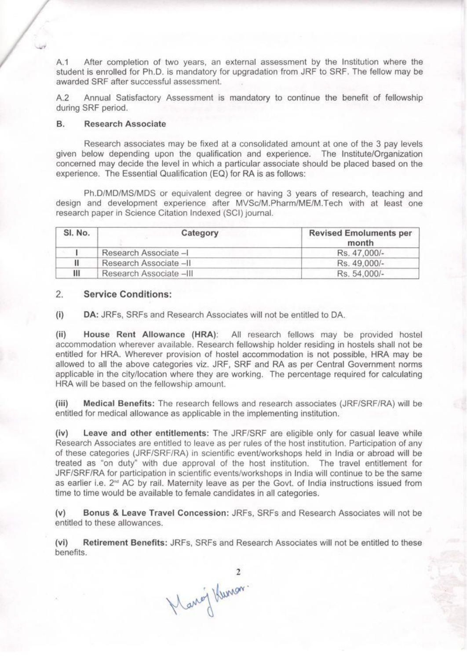A.1 After completion of two years, an external assessment by the Institution where the student is enrolled for Ph.D. is mandatory for upgradation from JRF to SRF. The fellow may be awarded SRF after successful assessment.

Annual Satisfactory Assessment is mandatory to continue the benefit of fellowship  $A.2$ during SRF period.

#### **B. Research Associate**

Research associates may be fixed at a consolidated amount at one of the 3 pay levels given below depending upon the qualification and experience. The Institute/Organization concerned may decide the level in which a particular associate should be placed based on the experience. The Essential Qualification (EQ) for RA is as follows:

Ph.D/MD/MS/MDS or equivalent degree or having 3 years of research, teaching and design and development experience after MVSc/M.Pharm/ME/M.Tech with at least one research paper in Science Citation Indexed (SCI) journal.

| SI. No. | Category                | <b>Revised Emoluments per</b><br>month |
|---------|-------------------------|----------------------------------------|
|         | Research Associate -I   | Rs. 47.000/-                           |
|         | Research Associate -II  | Rs. 49.000/-                           |
| Ш       | Research Associate -III | Rs. 54.000/-                           |

#### 2. **Service Conditions:**

 $(i)$ DA: JRFs, SRFs and Research Associates will not be entitled to DA.

 $(ii)$ House Rent Allowance (HRA): All research fellows may be provided hostel accommodation wherever available. Research fellowship holder residing in hostels shall not be entitled for HRA. Wherever provision of hostel accommodation is not possible, HRA may be allowed to all the above categories viz. JRF, SRF and RA as per Central Government norms applicable in the city/location where they are working. The percentage required for calculating HRA will be based on the fellowship amount.

Medical Benefits: The research fellows and research associates (JRF/SRF/RA) will be  $(iii)$ entitled for medical allowance as applicable in the implementing institution.

Leave and other entitlements: The JRF/SRF are eligible only for casual leave while  $(iv)$ Research Associates are entitled to leave as per rules of the host institution. Participation of any of these categories (JRF/SRF/RA) in scientific event/workshops held in India or abroad will be treated as "on duty" with due approval of the host institution. The travel entitlement for JRF/SRF/RA for participation in scientific events/workshops in India will continue to be the same as earlier i.e. 2<sup>nd</sup> AC by rail. Maternity leave as per the Govt. of India instructions issued from time to time would be available to female candidates in all categories.

Bonus & Leave Travel Concession: JRFs. SRFs and Research Associates will not be  $(v)$ entitled to these allowances.

Retirement Benefits: JRFs, SRFs and Research Associates will not be entitled to these  $(vi)$ benefits.

2<br>Mang Kunon.